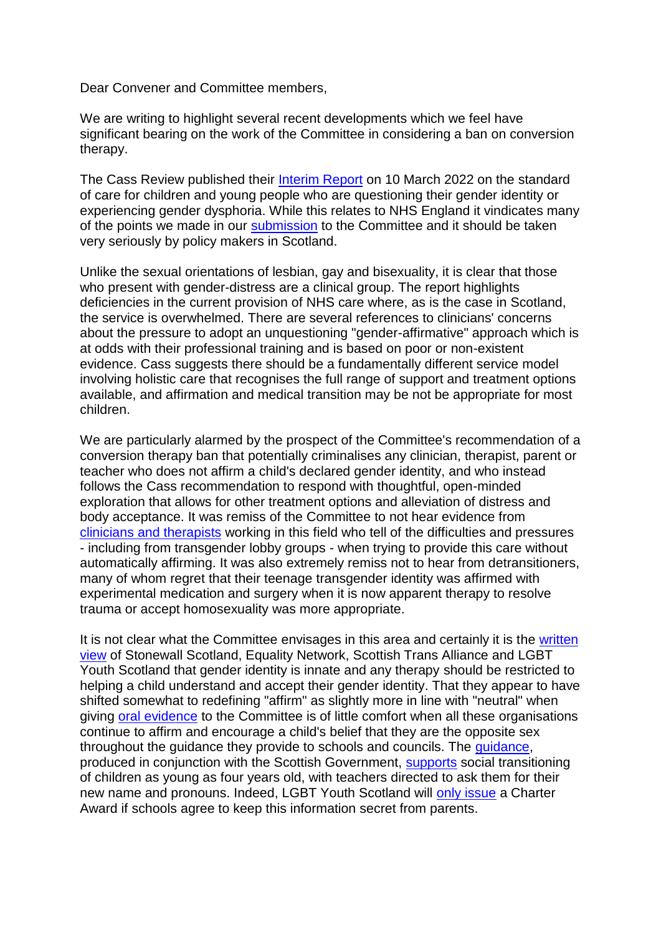Dear Convener and Committee members,

We are writing to highlight several recent developments which we feel have significant bearing on the work of the Committee in considering a ban on conversion therapy.

The Cass Review published their [Interim Report](https://eur03.safelinks.protection.outlook.com/?url=https%3A%2F%2Fcass.independent-review.uk%2Fpublications%2Finterim-report%2F&data=04%7C01%7Cehrcj.committee%40parliament.scot%7Cb9ae441455754c5b0f7508da05d69421%7Cd603c99ccfdd4292926800db0d0cf081%7C1%7C1%7C637828716415323039%7CUnknown%7CTWFpbGZsb3d8eyJWIjoiMC4wLjAwMDAiLCJQIjoiV2luMzIiLCJBTiI6Ik1haWwiLCJXVCI6Mn0%3D%7C3000&sdata=knDEgcWSZsJJk0aMmdwLSej6%2FlZrPcVws51jIDb5fhI%3D&reserved=0) on 10 March 2022 on the standard of care for children and young people who are questioning their gender identity or experiencing gender dysphoria. While this relates to NHS England it vindicates many of the points we made in our [submission](https://eur03.safelinks.protection.outlook.com/?url=https%3A%2F%2Fyourviews.parliament.scot%2Fehrcj%2Fpetition-end-conversion-therapy-views%2Fconsultation%2Fview_respondent%3Fsort%3Dexcerpt%26order%3Dascending%26_b_index%3D120%26uuId%3D332431588&data=04%7C01%7Cehrcj.committee%40parliament.scot%7Cb9ae441455754c5b0f7508da05d69421%7Cd603c99ccfdd4292926800db0d0cf081%7C1%7C1%7C637828716415323039%7CUnknown%7CTWFpbGZsb3d8eyJWIjoiMC4wLjAwMDAiLCJQIjoiV2luMzIiLCJBTiI6Ik1haWwiLCJXVCI6Mn0%3D%7C3000&sdata=iOMOBD8Hq1VV4h1Kr18%2ByCwqKhCCaRWtnYAK5WGuiuQ%3D&reserved=0) to the Committee and it should be taken very seriously by policy makers in Scotland.

Unlike the sexual orientations of lesbian, gay and bisexuality, it is clear that those who present with gender-distress are a clinical group. The report highlights deficiencies in the current provision of NHS care where, as is the case in Scotland, the service is overwhelmed. There are several references to clinicians' concerns about the pressure to adopt an unquestioning "gender-affirmative" approach which is at odds with their professional training and is based on poor or non-existent evidence. Cass suggests there should be a fundamentally different service model involving holistic care that recognises the full range of support and treatment options available, and affirmation and medical transition may be not be appropriate for most children.

We are particularly alarmed by the prospect of the Committee's recommendation of a conversion therapy ban that potentially criminalises any clinician, therapist, parent or teacher who does not affirm a child's declared gender identity, and who instead follows the Cass recommendation to respond with thoughtful, open-minded exploration that allows for other treatment options and alleviation of distress and body acceptance. It was remiss of the Committee to not hear evidence from [clinicians and therapists](https://eur03.safelinks.protection.outlook.com/?url=https%3A%2F%2Fthoughtfultherapists.org%2F&data=04%7C01%7Cehrcj.committee%40parliament.scot%7Cb9ae441455754c5b0f7508da05d69421%7Cd603c99ccfdd4292926800db0d0cf081%7C1%7C1%7C637828716415323039%7CUnknown%7CTWFpbGZsb3d8eyJWIjoiMC4wLjAwMDAiLCJQIjoiV2luMzIiLCJBTiI6Ik1haWwiLCJXVCI6Mn0%3D%7C3000&sdata=rhEDI57LT8oGas0j3YlxlJvPGidojhsHdNcNyzvTYyA%3D&reserved=0) working in this field who tell of the difficulties and pressures - including from transgender lobby groups - when trying to provide this care without automatically affirming. It was also extremely remiss not to hear from detransitioners, many of whom regret that their teenage transgender identity was affirmed with experimental medication and surgery when it is now apparent therapy to resolve trauma or accept homosexuality was more appropriate.

It is not clear what the Committee envisages in this area and certainly it is the [written](https://eur03.safelinks.protection.outlook.com/?url=https%3A%2F%2Fyourviews.parliament.scot%2Fehrcj%2Fpetition-end-conversion-therapy-views%2Fconsultation%2Fview_respondent%3Fshow_all_questions%3D0%26sort%3Dexcerpt%26order%3Dascending%26_q__text%3DEquality%2BNetwork%26uuId%3D768193465&data=04%7C01%7Cehrcj.committee%40parliament.scot%7Cb9ae441455754c5b0f7508da05d69421%7Cd603c99ccfdd4292926800db0d0cf081%7C1%7C1%7C637828716415479264%7CUnknown%7CTWFpbGZsb3d8eyJWIjoiMC4wLjAwMDAiLCJQIjoiV2luMzIiLCJBTiI6Ik1haWwiLCJXVCI6Mn0%3D%7C3000&sdata=xK9phSb7ElfsBwLANq%2FMqzuFvJ%2F6naFG6P7H0DROZwM%3D&reserved=0)  [view](https://eur03.safelinks.protection.outlook.com/?url=https%3A%2F%2Fyourviews.parliament.scot%2Fehrcj%2Fpetition-end-conversion-therapy-views%2Fconsultation%2Fview_respondent%3Fshow_all_questions%3D0%26sort%3Dexcerpt%26order%3Dascending%26_q__text%3DEquality%2BNetwork%26uuId%3D768193465&data=04%7C01%7Cehrcj.committee%40parliament.scot%7Cb9ae441455754c5b0f7508da05d69421%7Cd603c99ccfdd4292926800db0d0cf081%7C1%7C1%7C637828716415479264%7CUnknown%7CTWFpbGZsb3d8eyJWIjoiMC4wLjAwMDAiLCJQIjoiV2luMzIiLCJBTiI6Ik1haWwiLCJXVCI6Mn0%3D%7C3000&sdata=xK9phSb7ElfsBwLANq%2FMqzuFvJ%2F6naFG6P7H0DROZwM%3D&reserved=0) of Stonewall Scotland, Equality Network, Scottish Trans Alliance and LGBT Youth Scotland that gender identity is innate and any therapy should be restricted to helping a child understand and accept their gender identity. That they appear to have shifted somewhat to redefining "affirm" as slightly more in line with "neutral" when giving [oral evidence](https://eur03.safelinks.protection.outlook.com/?url=https%3A%2F%2Fwww.parliament.scot%2Fapi%2Fsitecore%2FCustomMedia%2FOfficialReport%3FmeetingId%3D13302&data=04%7C01%7Cehrcj.committee%40parliament.scot%7Cb9ae441455754c5b0f7508da05d69421%7Cd603c99ccfdd4292926800db0d0cf081%7C1%7C1%7C637828716415479264%7CUnknown%7CTWFpbGZsb3d8eyJWIjoiMC4wLjAwMDAiLCJQIjoiV2luMzIiLCJBTiI6Ik1haWwiLCJXVCI6Mn0%3D%7C3000&sdata=fXRnD6TFNHywtwJEaTFJvTzfIZZiDku%2Fe1gHdkfT8O8%3D&reserved=0) to the Committee is of little comfort when all these organisations continue to affirm and encourage a child's belief that they are the opposite sex throughout the guidance they provide to schools and councils. The [guidance,](https://eur03.safelinks.protection.outlook.com/?url=https%3A%2F%2Feducation.gov.scot%2Fmedia%2Fxpgo5atb%2Fsupporting-transgender-pupils-schools-guidance-scottish-schools_.pdf&data=04%7C01%7Cehrcj.committee%40parliament.scot%7Cb9ae441455754c5b0f7508da05d69421%7Cd603c99ccfdd4292926800db0d0cf081%7C1%7C1%7C637828716415479264%7CUnknown%7CTWFpbGZsb3d8eyJWIjoiMC4wLjAwMDAiLCJQIjoiV2luMzIiLCJBTiI6Ik1haWwiLCJXVCI6Mn0%3D%7C3000&sdata=EofhiVSWAonbtDtebpxSddSZKYff6tHrbb2RHBDDQqo%3D&reserved=0) produced in conjunction with the Scottish Government, [supports](https://eur03.safelinks.protection.outlook.com/?url=https%3A%2F%2Fwww.telegraph.co.uk%2Fnews%2F2021%2F08%2F12%2Fscottish-four-year-olds-can-change-gender-school-without-parents%2F&data=04%7C01%7Cehrcj.committee%40parliament.scot%7Cb9ae441455754c5b0f7508da05d69421%7Cd603c99ccfdd4292926800db0d0cf081%7C1%7C1%7C637828716415791702%7CUnknown%7CTWFpbGZsb3d8eyJWIjoiMC4wLjAwMDAiLCJQIjoiV2luMzIiLCJBTiI6Ik1haWwiLCJXVCI6Mn0%3D%7C3000&sdata=Xbw6HNvgGFl%2FhQIE%2FCvMW%2FyFSVnFD3%2BoSZDpt3hP%2BX8%3D&reserved=0) social transitioning of children as young as four years old, with teachers directed to ask them for their new name and pronouns. Indeed, LGBT Youth Scotland will [only issue](https://eur03.safelinks.protection.outlook.com/?url=https%3A%2F%2Fforwomen.scot%2Fwp-content%2Fuploads%2F2022%2F03%2F2021_ELF891R-Musselburgh-Grammar-LGBT-Charter-Feedback-Form-1.pdf&data=04%7C01%7Cehrcj.committee%40parliament.scot%7Cb9ae441455754c5b0f7508da05d69421%7Cd603c99ccfdd4292926800db0d0cf081%7C1%7C1%7C637828716415791702%7CUnknown%7CTWFpbGZsb3d8eyJWIjoiMC4wLjAwMDAiLCJQIjoiV2luMzIiLCJBTiI6Ik1haWwiLCJXVCI6Mn0%3D%7C3000&sdata=zWpZ6SX2fC2TJxEQf%2FyqTDLBNY4DLS%2F%2BerSm1Z01uhg%3D&reserved=0) a Charter Award if schools agree to keep this information secret from parents.